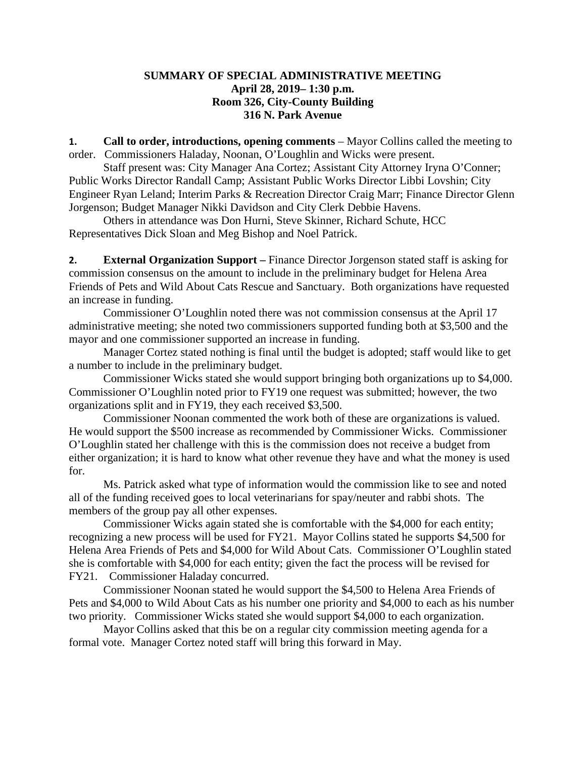## **SUMMARY OF SPECIAL ADMINISTRATIVE MEETING April 28, 2019– 1:30 p.m. Room 326, City-County Building 316 N. Park Avenue**

**1. Call to order, introductions, opening comments** – Mayor Collins called the meeting to order. Commissioners Haladay, Noonan, O'Loughlin and Wicks were present.

Staff present was: City Manager Ana Cortez; Assistant City Attorney Iryna O'Conner; Public Works Director Randall Camp; Assistant Public Works Director Libbi Lovshin; City Engineer Ryan Leland; Interim Parks & Recreation Director Craig Marr; Finance Director Glenn Jorgenson; Budget Manager Nikki Davidson and City Clerk Debbie Havens.

Others in attendance was Don Hurni, Steve Skinner, Richard Schute, HCC Representatives Dick Sloan and Meg Bishop and Noel Patrick.

**2. External Organization Support –** Finance Director Jorgenson stated staff is asking for commission consensus on the amount to include in the preliminary budget for Helena Area Friends of Pets and Wild About Cats Rescue and Sanctuary. Both organizations have requested an increase in funding.

Commissioner O'Loughlin noted there was not commission consensus at the April 17 administrative meeting; she noted two commissioners supported funding both at \$3,500 and the mayor and one commissioner supported an increase in funding.

Manager Cortez stated nothing is final until the budget is adopted; staff would like to get a number to include in the preliminary budget.

Commissioner Wicks stated she would support bringing both organizations up to \$4,000. Commissioner O'Loughlin noted prior to FY19 one request was submitted; however, the two organizations split and in FY19, they each received \$3,500.

Commissioner Noonan commented the work both of these are organizations is valued. He would support the \$500 increase as recommended by Commissioner Wicks. Commissioner O'Loughlin stated her challenge with this is the commission does not receive a budget from either organization; it is hard to know what other revenue they have and what the money is used for.

Ms. Patrick asked what type of information would the commission like to see and noted all of the funding received goes to local veterinarians for spay/neuter and rabbi shots. The members of the group pay all other expenses.

Commissioner Wicks again stated she is comfortable with the \$4,000 for each entity; recognizing a new process will be used for FY21. Mayor Collins stated he supports \$4,500 for Helena Area Friends of Pets and \$4,000 for Wild About Cats. Commissioner O'Loughlin stated she is comfortable with \$4,000 for each entity; given the fact the process will be revised for FY21. Commissioner Haladay concurred.

Commissioner Noonan stated he would support the \$4,500 to Helena Area Friends of Pets and \$4,000 to Wild About Cats as his number one priority and \$4,000 to each as his number two priority. Commissioner Wicks stated she would support \$4,000 to each organization.

Mayor Collins asked that this be on a regular city commission meeting agenda for a formal vote. Manager Cortez noted staff will bring this forward in May.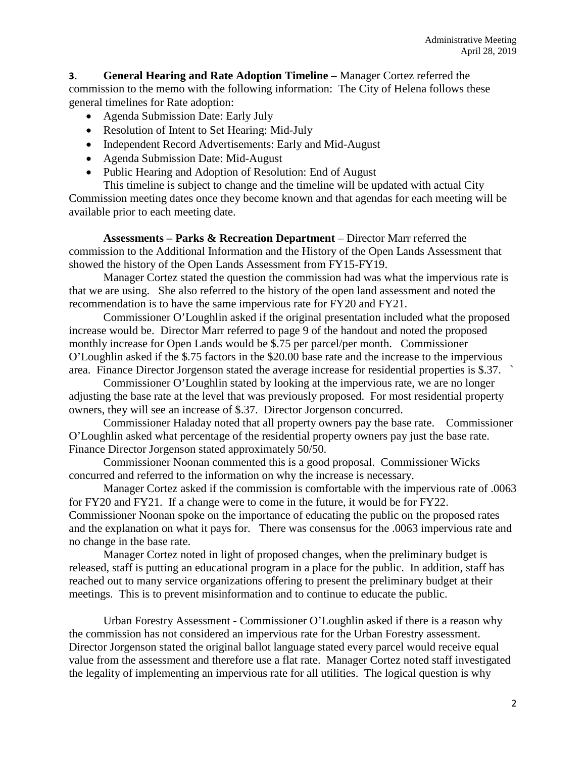**3. General Hearing and Rate Adoption Timeline –** Manager Cortez referred the commission to the memo with the following information: The City of Helena follows these general timelines for Rate adoption:

- Agenda Submission Date: Early July
- Resolution of Intent to Set Hearing: Mid-July
- Independent Record Advertisements: Early and Mid-August
- Agenda Submission Date: Mid-August
- Public Hearing and Adoption of Resolution: End of August

This timeline is subject to change and the timeline will be updated with actual City Commission meeting dates once they become known and that agendas for each meeting will be available prior to each meeting date.

**Assessments – Parks & Recreation Department** – Director Marr referred the commission to the Additional Information and the History of the Open Lands Assessment that showed the history of the Open Lands Assessment from FY15-FY19.

Manager Cortez stated the question the commission had was what the impervious rate is that we are using. She also referred to the history of the open land assessment and noted the recommendation is to have the same impervious rate for FY20 and FY21.

Commissioner O'Loughlin asked if the original presentation included what the proposed increase would be. Director Marr referred to page 9 of the handout and noted the proposed monthly increase for Open Lands would be \$.75 per parcel/per month. Commissioner O'Loughlin asked if the \$.75 factors in the \$20.00 base rate and the increase to the impervious area. Finance Director Jorgenson stated the average increase for residential properties is \$.37. `

Commissioner O'Loughlin stated by looking at the impervious rate, we are no longer adjusting the base rate at the level that was previously proposed. For most residential property owners, they will see an increase of \$.37. Director Jorgenson concurred.

Commissioner Haladay noted that all property owners pay the base rate. Commissioner O'Loughlin asked what percentage of the residential property owners pay just the base rate. Finance Director Jorgenson stated approximately 50/50.

Commissioner Noonan commented this is a good proposal. Commissioner Wicks concurred and referred to the information on why the increase is necessary.

Manager Cortez asked if the commission is comfortable with the impervious rate of .0063 for FY20 and FY21. If a change were to come in the future, it would be for FY22. Commissioner Noonan spoke on the importance of educating the public on the proposed rates and the explanation on what it pays for. There was consensus for the .0063 impervious rate and no change in the base rate.

Manager Cortez noted in light of proposed changes, when the preliminary budget is released, staff is putting an educational program in a place for the public. In addition, staff has reached out to many service organizations offering to present the preliminary budget at their meetings. This is to prevent misinformation and to continue to educate the public.

Urban Forestry Assessment - Commissioner O'Loughlin asked if there is a reason why the commission has not considered an impervious rate for the Urban Forestry assessment. Director Jorgenson stated the original ballot language stated every parcel would receive equal value from the assessment and therefore use a flat rate. Manager Cortez noted staff investigated the legality of implementing an impervious rate for all utilities. The logical question is why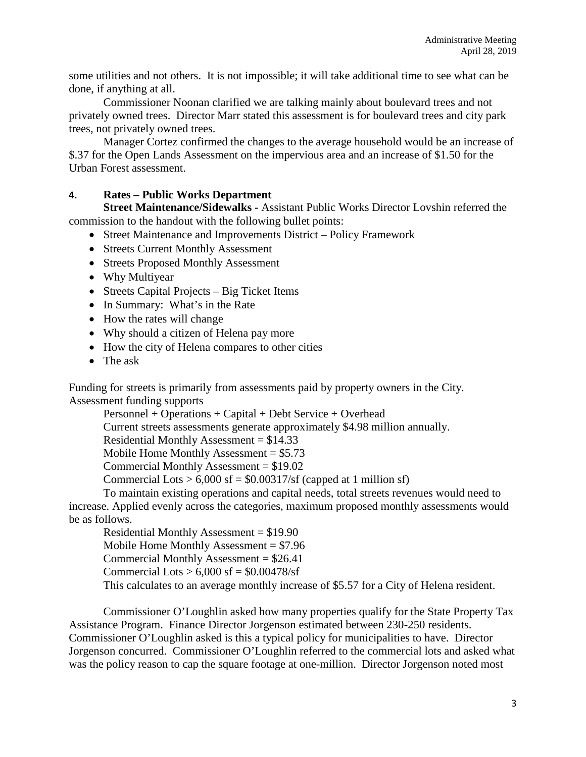some utilities and not others. It is not impossible; it will take additional time to see what can be done, if anything at all.

Commissioner Noonan clarified we are talking mainly about boulevard trees and not privately owned trees. Director Marr stated this assessment is for boulevard trees and city park trees, not privately owned trees.

Manager Cortez confirmed the changes to the average household would be an increase of \$.37 for the Open Lands Assessment on the impervious area and an increase of \$1.50 for the Urban Forest assessment.

## **4. Rates – Public Works Department**

**Street Maintenance/Sidewalks -** Assistant Public Works Director Lovshin referred the commission to the handout with the following bullet points:

- Street Maintenance and Improvements District Policy Framework
- Streets Current Monthly Assessment
- Streets Proposed Monthly Assessment
- Why Multiyear
- Streets Capital Projects Big Ticket Items
- In Summary: What's in the Rate
- How the rates will change
- Why should a citizen of Helena pay more
- How the city of Helena compares to other cities
- The ask

Funding for streets is primarily from assessments paid by property owners in the City. Assessment funding supports

Personnel + Operations + Capital + Debt Service + Overhead

Current streets assessments generate approximately \$4.98 million annually.

Residential Monthly Assessment = \$14.33

Mobile Home Monthly Assessment =  $$5.73$ 

Commercial Monthly Assessment = \$19.02

Commercial Lots  $> 6,000$  sf = \$0.00317/sf (capped at 1 million sf)

To maintain existing operations and capital needs, total streets revenues would need to increase. Applied evenly across the categories, maximum proposed monthly assessments would be as follows.

Residential Monthly Assessment = \$19.90 Mobile Home Monthly Assessment = \$7.96 Commercial Monthly Assessment = \$26.41 Commercial Lots  $> 6,000$  sf = \$0.00478/sf This calculates to an average monthly increase of \$5.57 for a City of Helena resident.

Commissioner O'Loughlin asked how many properties qualify for the State Property Tax Assistance Program. Finance Director Jorgenson estimated between 230-250 residents. Commissioner O'Loughlin asked is this a typical policy for municipalities to have. Director Jorgenson concurred. Commissioner O'Loughlin referred to the commercial lots and asked what was the policy reason to cap the square footage at one-million. Director Jorgenson noted most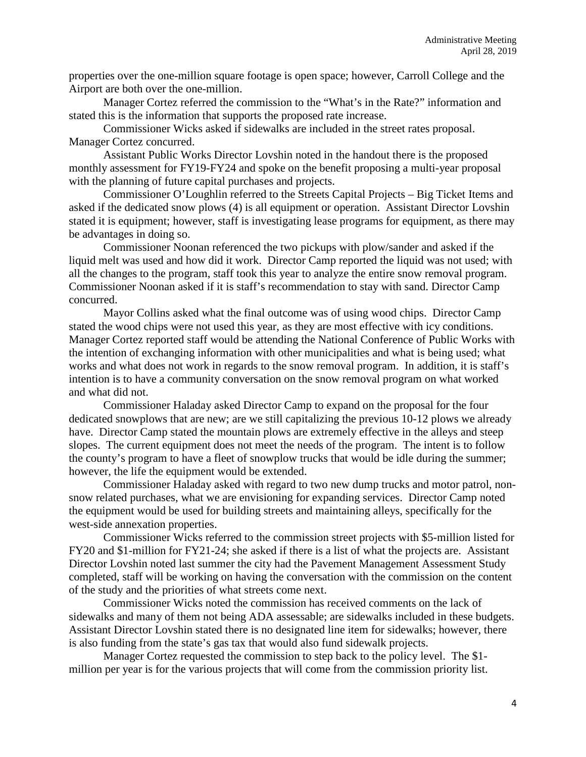properties over the one-million square footage is open space; however, Carroll College and the Airport are both over the one-million.

Manager Cortez referred the commission to the "What's in the Rate?" information and stated this is the information that supports the proposed rate increase.

Commissioner Wicks asked if sidewalks are included in the street rates proposal. Manager Cortez concurred.

Assistant Public Works Director Lovshin noted in the handout there is the proposed monthly assessment for FY19-FY24 and spoke on the benefit proposing a multi-year proposal with the planning of future capital purchases and projects.

Commissioner O'Loughlin referred to the Streets Capital Projects – Big Ticket Items and asked if the dedicated snow plows (4) is all equipment or operation. Assistant Director Lovshin stated it is equipment; however, staff is investigating lease programs for equipment, as there may be advantages in doing so.

Commissioner Noonan referenced the two pickups with plow/sander and asked if the liquid melt was used and how did it work. Director Camp reported the liquid was not used; with all the changes to the program, staff took this year to analyze the entire snow removal program. Commissioner Noonan asked if it is staff's recommendation to stay with sand. Director Camp concurred.

Mayor Collins asked what the final outcome was of using wood chips. Director Camp stated the wood chips were not used this year, as they are most effective with icy conditions. Manager Cortez reported staff would be attending the National Conference of Public Works with the intention of exchanging information with other municipalities and what is being used; what works and what does not work in regards to the snow removal program. In addition, it is staff's intention is to have a community conversation on the snow removal program on what worked and what did not.

Commissioner Haladay asked Director Camp to expand on the proposal for the four dedicated snowplows that are new; are we still capitalizing the previous 10-12 plows we already have. Director Camp stated the mountain plows are extremely effective in the alleys and steep slopes. The current equipment does not meet the needs of the program. The intent is to follow the county's program to have a fleet of snowplow trucks that would be idle during the summer; however, the life the equipment would be extended.

Commissioner Haladay asked with regard to two new dump trucks and motor patrol, nonsnow related purchases, what we are envisioning for expanding services. Director Camp noted the equipment would be used for building streets and maintaining alleys, specifically for the west-side annexation properties.

Commissioner Wicks referred to the commission street projects with \$5-million listed for FY20 and \$1-million for FY21-24; she asked if there is a list of what the projects are. Assistant Director Lovshin noted last summer the city had the Pavement Management Assessment Study completed, staff will be working on having the conversation with the commission on the content of the study and the priorities of what streets come next.

Commissioner Wicks noted the commission has received comments on the lack of sidewalks and many of them not being ADA assessable; are sidewalks included in these budgets. Assistant Director Lovshin stated there is no designated line item for sidewalks; however, there is also funding from the state's gas tax that would also fund sidewalk projects.

Manager Cortez requested the commission to step back to the policy level. The \$1 million per year is for the various projects that will come from the commission priority list.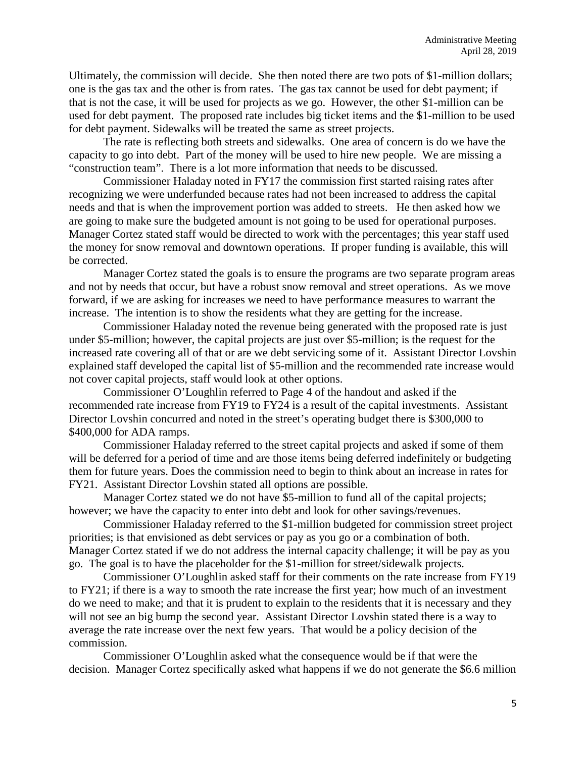Ultimately, the commission will decide. She then noted there are two pots of \$1-million dollars; one is the gas tax and the other is from rates. The gas tax cannot be used for debt payment; if that is not the case, it will be used for projects as we go. However, the other \$1-million can be used for debt payment. The proposed rate includes big ticket items and the \$1-million to be used for debt payment. Sidewalks will be treated the same as street projects.

The rate is reflecting both streets and sidewalks. One area of concern is do we have the capacity to go into debt. Part of the money will be used to hire new people. We are missing a "construction team". There is a lot more information that needs to be discussed.

Commissioner Haladay noted in FY17 the commission first started raising rates after recognizing we were underfunded because rates had not been increased to address the capital needs and that is when the improvement portion was added to streets. He then asked how we are going to make sure the budgeted amount is not going to be used for operational purposes. Manager Cortez stated staff would be directed to work with the percentages; this year staff used the money for snow removal and downtown operations. If proper funding is available, this will be corrected.

Manager Cortez stated the goals is to ensure the programs are two separate program areas and not by needs that occur, but have a robust snow removal and street operations. As we move forward, if we are asking for increases we need to have performance measures to warrant the increase. The intention is to show the residents what they are getting for the increase.

Commissioner Haladay noted the revenue being generated with the proposed rate is just under \$5-million; however, the capital projects are just over \$5-million; is the request for the increased rate covering all of that or are we debt servicing some of it. Assistant Director Lovshin explained staff developed the capital list of \$5-million and the recommended rate increase would not cover capital projects, staff would look at other options.

Commissioner O'Loughlin referred to Page 4 of the handout and asked if the recommended rate increase from FY19 to FY24 is a result of the capital investments. Assistant Director Lovshin concurred and noted in the street's operating budget there is \$300,000 to \$400,000 for ADA ramps.

Commissioner Haladay referred to the street capital projects and asked if some of them will be deferred for a period of time and are those items being deferred indefinitely or budgeting them for future years. Does the commission need to begin to think about an increase in rates for FY21. Assistant Director Lovshin stated all options are possible.

Manager Cortez stated we do not have \$5-million to fund all of the capital projects; however; we have the capacity to enter into debt and look for other savings/revenues.

Commissioner Haladay referred to the \$1-million budgeted for commission street project priorities; is that envisioned as debt services or pay as you go or a combination of both. Manager Cortez stated if we do not address the internal capacity challenge; it will be pay as you go. The goal is to have the placeholder for the \$1-million for street/sidewalk projects.

Commissioner O'Loughlin asked staff for their comments on the rate increase from FY19 to FY21; if there is a way to smooth the rate increase the first year; how much of an investment do we need to make; and that it is prudent to explain to the residents that it is necessary and they will not see an big bump the second year. Assistant Director Lovshin stated there is a way to average the rate increase over the next few years. That would be a policy decision of the commission.

Commissioner O'Loughlin asked what the consequence would be if that were the decision. Manager Cortez specifically asked what happens if we do not generate the \$6.6 million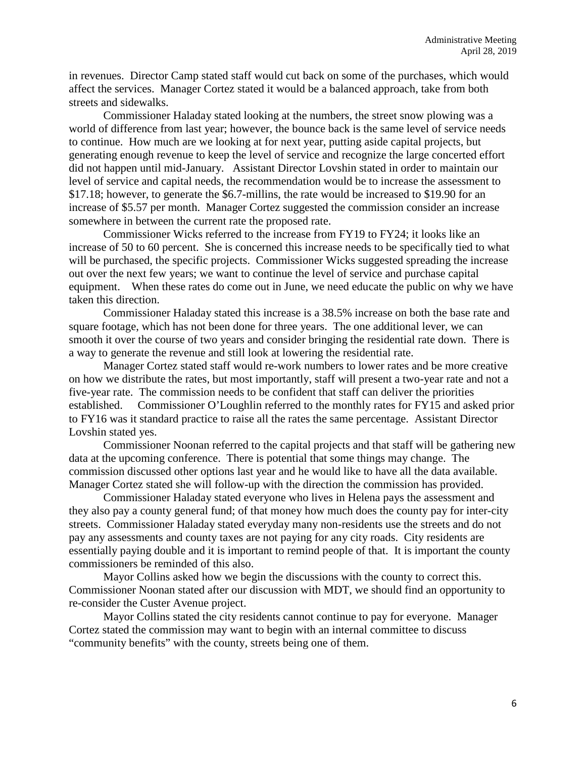in revenues. Director Camp stated staff would cut back on some of the purchases, which would affect the services. Manager Cortez stated it would be a balanced approach, take from both streets and sidewalks.

Commissioner Haladay stated looking at the numbers, the street snow plowing was a world of difference from last year; however, the bounce back is the same level of service needs to continue. How much are we looking at for next year, putting aside capital projects, but generating enough revenue to keep the level of service and recognize the large concerted effort did not happen until mid-January. Assistant Director Lovshin stated in order to maintain our level of service and capital needs, the recommendation would be to increase the assessment to \$17.18; however, to generate the \$6.7-millins, the rate would be increased to \$19.90 for an increase of \$5.57 per month. Manager Cortez suggested the commission consider an increase somewhere in between the current rate the proposed rate.

Commissioner Wicks referred to the increase from FY19 to FY24; it looks like an increase of 50 to 60 percent. She is concerned this increase needs to be specifically tied to what will be purchased, the specific projects. Commissioner Wicks suggested spreading the increase out over the next few years; we want to continue the level of service and purchase capital equipment. When these rates do come out in June, we need educate the public on why we have taken this direction.

Commissioner Haladay stated this increase is a 38.5% increase on both the base rate and square footage, which has not been done for three years. The one additional lever, we can smooth it over the course of two years and consider bringing the residential rate down. There is a way to generate the revenue and still look at lowering the residential rate.

Manager Cortez stated staff would re-work numbers to lower rates and be more creative on how we distribute the rates, but most importantly, staff will present a two-year rate and not a five-year rate. The commission needs to be confident that staff can deliver the priorities established. Commissioner O'Loughlin referred to the monthly rates for FY15 and asked prior to FY16 was it standard practice to raise all the rates the same percentage. Assistant Director Lovshin stated yes.

Commissioner Noonan referred to the capital projects and that staff will be gathering new data at the upcoming conference. There is potential that some things may change. The commission discussed other options last year and he would like to have all the data available. Manager Cortez stated she will follow-up with the direction the commission has provided.

Commissioner Haladay stated everyone who lives in Helena pays the assessment and they also pay a county general fund; of that money how much does the county pay for inter-city streets. Commissioner Haladay stated everyday many non-residents use the streets and do not pay any assessments and county taxes are not paying for any city roads. City residents are essentially paying double and it is important to remind people of that. It is important the county commissioners be reminded of this also.

Mayor Collins asked how we begin the discussions with the county to correct this. Commissioner Noonan stated after our discussion with MDT, we should find an opportunity to re-consider the Custer Avenue project.

Mayor Collins stated the city residents cannot continue to pay for everyone. Manager Cortez stated the commission may want to begin with an internal committee to discuss "community benefits" with the county, streets being one of them.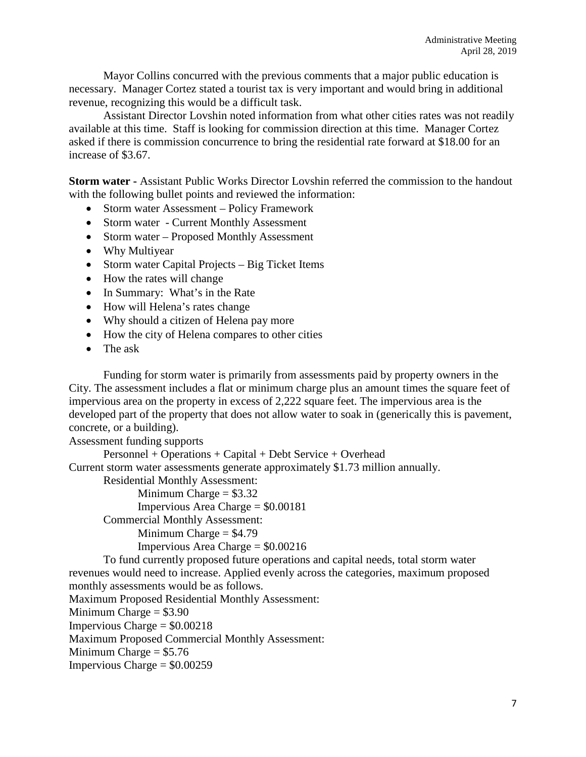Mayor Collins concurred with the previous comments that a major public education is necessary. Manager Cortez stated a tourist tax is very important and would bring in additional revenue, recognizing this would be a difficult task.

Assistant Director Lovshin noted information from what other cities rates was not readily available at this time. Staff is looking for commission direction at this time. Manager Cortez asked if there is commission concurrence to bring the residential rate forward at \$18.00 for an increase of \$3.67.

**Storm water -** Assistant Public Works Director Lovshin referred the commission to the handout with the following bullet points and reviewed the information:

- Storm water Assessment Policy Framework
- Storm water Current Monthly Assessment
- Storm water Proposed Monthly Assessment
- Why Multiyear
- Storm water Capital Projects Big Ticket Items
- How the rates will change
- In Summary: What's in the Rate
- How will Helena's rates change
- Why should a citizen of Helena pay more
- How the city of Helena compares to other cities
- The ask

Funding for storm water is primarily from assessments paid by property owners in the City. The assessment includes a flat or minimum charge plus an amount times the square feet of impervious area on the property in excess of 2,222 square feet. The impervious area is the developed part of the property that does not allow water to soak in (generically this is pavement, concrete, or a building).

Assessment funding supports

Personnel + Operations + Capital + Debt Service + Overhead

Current storm water assessments generate approximately \$1.73 million annually.

Residential Monthly Assessment:

Minimum Charge  $= $3.32$ 

Impervious Area Charge = \$0.00181

Commercial Monthly Assessment:

Minimum Charge  $=$  \$4.79

Impervious Area Charge = \$0.00216

To fund currently proposed future operations and capital needs, total storm water revenues would need to increase. Applied evenly across the categories, maximum proposed monthly assessments would be as follows.

Maximum Proposed Residential Monthly Assessment:

Minimum Charge  $= $3.90$ 

Impervious Charge = \$0.00218

Maximum Proposed Commercial Monthly Assessment:

Minimum Charge  $= $5.76$ 

Impervious Charge = \$0.00259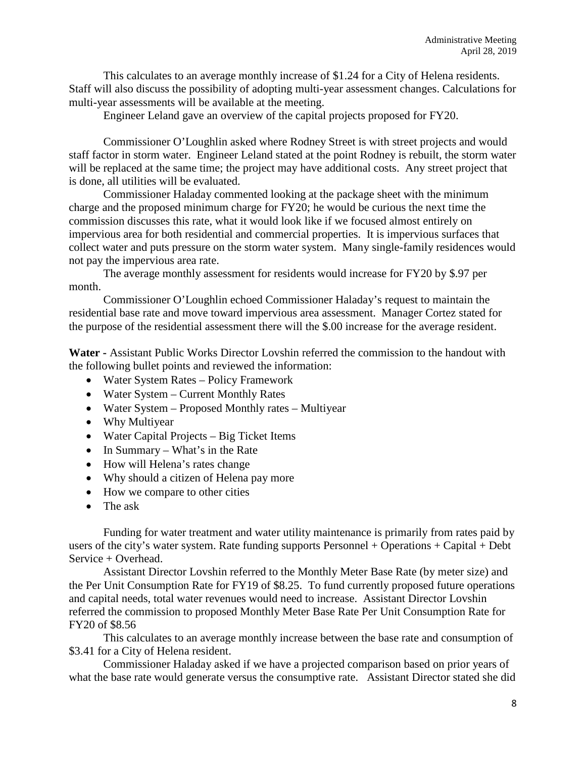This calculates to an average monthly increase of \$1.24 for a City of Helena residents. Staff will also discuss the possibility of adopting multi-year assessment changes. Calculations for multi-year assessments will be available at the meeting.

Engineer Leland gave an overview of the capital projects proposed for FY20.

Commissioner O'Loughlin asked where Rodney Street is with street projects and would staff factor in storm water. Engineer Leland stated at the point Rodney is rebuilt, the storm water will be replaced at the same time; the project may have additional costs. Any street project that is done, all utilities will be evaluated.

Commissioner Haladay commented looking at the package sheet with the minimum charge and the proposed minimum charge for FY20; he would be curious the next time the commission discusses this rate, what it would look like if we focused almost entirely on impervious area for both residential and commercial properties. It is impervious surfaces that collect water and puts pressure on the storm water system. Many single-family residences would not pay the impervious area rate.

The average monthly assessment for residents would increase for FY20 by \$.97 per month.

Commissioner O'Loughlin echoed Commissioner Haladay's request to maintain the residential base rate and move toward impervious area assessment. Manager Cortez stated for the purpose of the residential assessment there will the \$.00 increase for the average resident.

**Water -** Assistant Public Works Director Lovshin referred the commission to the handout with the following bullet points and reviewed the information:

- Water System Rates Policy Framework
- Water System Current Monthly Rates
- Water System Proposed Monthly rates Multiyear
- Why Multiyear
- Water Capital Projects Big Ticket Items
- In Summary What's in the Rate
- How will Helena's rates change
- Why should a citizen of Helena pay more
- How we compare to other cities
- The ask

Funding for water treatment and water utility maintenance is primarily from rates paid by users of the city's water system. Rate funding supports Personnel + Operations + Capital + Debt Service + Overhead.

Assistant Director Lovshin referred to the Monthly Meter Base Rate (by meter size) and the Per Unit Consumption Rate for FY19 of \$8.25. To fund currently proposed future operations and capital needs, total water revenues would need to increase. Assistant Director Lovshin referred the commission to proposed Monthly Meter Base Rate Per Unit Consumption Rate for FY20 of \$8.56

This calculates to an average monthly increase between the base rate and consumption of \$3.41 for a City of Helena resident.

Commissioner Haladay asked if we have a projected comparison based on prior years of what the base rate would generate versus the consumptive rate. Assistant Director stated she did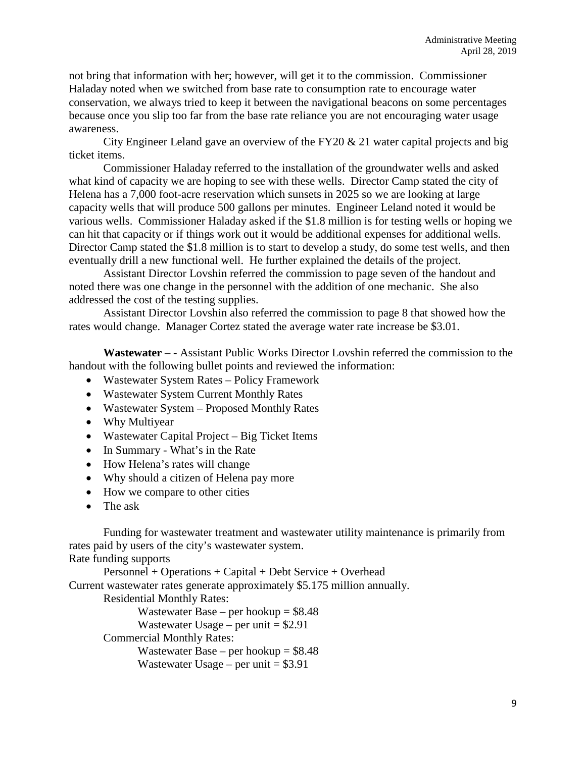not bring that information with her; however, will get it to the commission. Commissioner Haladay noted when we switched from base rate to consumption rate to encourage water conservation, we always tried to keep it between the navigational beacons on some percentages because once you slip too far from the base rate reliance you are not encouraging water usage awareness.

City Engineer Leland gave an overview of the FY20  $\&$  21 water capital projects and big ticket items.

Commissioner Haladay referred to the installation of the groundwater wells and asked what kind of capacity we are hoping to see with these wells. Director Camp stated the city of Helena has a 7,000 foot-acre reservation which sunsets in 2025 so we are looking at large capacity wells that will produce 500 gallons per minutes. Engineer Leland noted it would be various wells. Commissioner Haladay asked if the \$1.8 million is for testing wells or hoping we can hit that capacity or if things work out it would be additional expenses for additional wells. Director Camp stated the \$1.8 million is to start to develop a study, do some test wells, and then eventually drill a new functional well. He further explained the details of the project.

Assistant Director Lovshin referred the commission to page seven of the handout and noted there was one change in the personnel with the addition of one mechanic. She also addressed the cost of the testing supplies.

Assistant Director Lovshin also referred the commission to page 8 that showed how the rates would change. Manager Cortez stated the average water rate increase be \$3.01.

**Wastewater** – **-** Assistant Public Works Director Lovshin referred the commission to the handout with the following bullet points and reviewed the information:

- Wastewater System Rates Policy Framework
- Wastewater System Current Monthly Rates
- Wastewater System Proposed Monthly Rates
- Why Multiyear
- Wastewater Capital Project Big Ticket Items
- In Summary What's in the Rate
- How Helena's rates will change
- Why should a citizen of Helena pay more
- How we compare to other cities
- The ask

Funding for wastewater treatment and wastewater utility maintenance is primarily from rates paid by users of the city's wastewater system.

```
Rate funding supports 
       Personnel + Operations + Capital + Debt Service + Overhead 
Current wastewater rates generate approximately $5.175 million annually. 
       Residential Monthly Rates: 
              Wastewater Base – per hookup = $8.48Wastewater Usage – per unit = $2.91Commercial Monthly Rates: 
              Wastewater Base – per hookup = $8.48
              Wastewater Usage – per unit = $3.91
```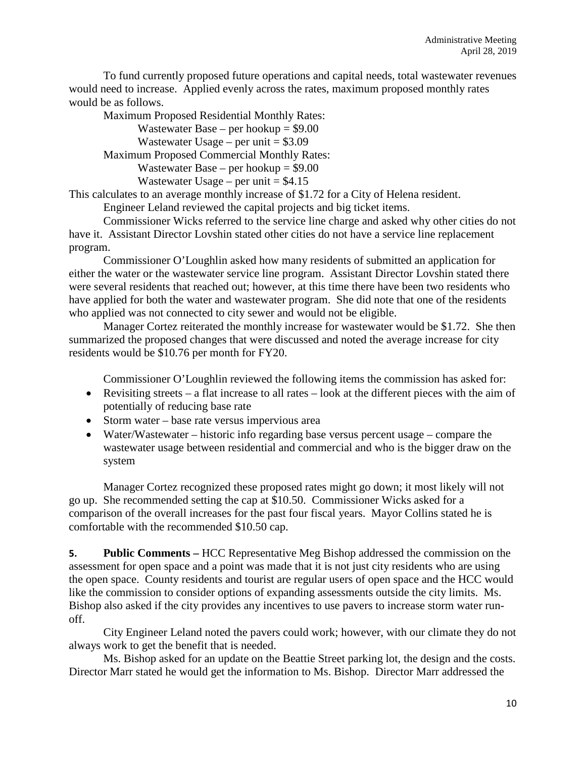To fund currently proposed future operations and capital needs, total wastewater revenues would need to increase. Applied evenly across the rates, maximum proposed monthly rates would be as follows.

Maximum Proposed Residential Monthly Rates:

Wastewater Base – per hookup  $= $9.00$ Wastewater Usage – per unit  $= $3.09$ Maximum Proposed Commercial Monthly Rates: Wastewater Base – per hookup  $= $9.00$ Wastewater Usage – per unit  $= $4.15$ 

This calculates to an average monthly increase of \$1.72 for a City of Helena resident.

Engineer Leland reviewed the capital projects and big ticket items.

Commissioner Wicks referred to the service line charge and asked why other cities do not have it. Assistant Director Lovshin stated other cities do not have a service line replacement program.

Commissioner O'Loughlin asked how many residents of submitted an application for either the water or the wastewater service line program. Assistant Director Lovshin stated there were several residents that reached out; however, at this time there have been two residents who have applied for both the water and wastewater program. She did note that one of the residents who applied was not connected to city sewer and would not be eligible.

Manager Cortez reiterated the monthly increase for wastewater would be \$1.72. She then summarized the proposed changes that were discussed and noted the average increase for city residents would be \$10.76 per month for FY20.

Commissioner O'Loughlin reviewed the following items the commission has asked for:

- Revisiting streets a flat increase to all rates look at the different pieces with the aim of potentially of reducing base rate
- Storm water base rate versus impervious area
- Water/Wastewater historic info regarding base versus percent usage compare the wastewater usage between residential and commercial and who is the bigger draw on the system

Manager Cortez recognized these proposed rates might go down; it most likely will not go up. She recommended setting the cap at \$10.50. Commissioner Wicks asked for a comparison of the overall increases for the past four fiscal years. Mayor Collins stated he is comfortable with the recommended \$10.50 cap.

**5. Public Comments –** HCC Representative Meg Bishop addressed the commission on the assessment for open space and a point was made that it is not just city residents who are using the open space. County residents and tourist are regular users of open space and the HCC would like the commission to consider options of expanding assessments outside the city limits. Ms. Bishop also asked if the city provides any incentives to use pavers to increase storm water runoff.

City Engineer Leland noted the pavers could work; however, with our climate they do not always work to get the benefit that is needed.

Ms. Bishop asked for an update on the Beattie Street parking lot, the design and the costs. Director Marr stated he would get the information to Ms. Bishop. Director Marr addressed the